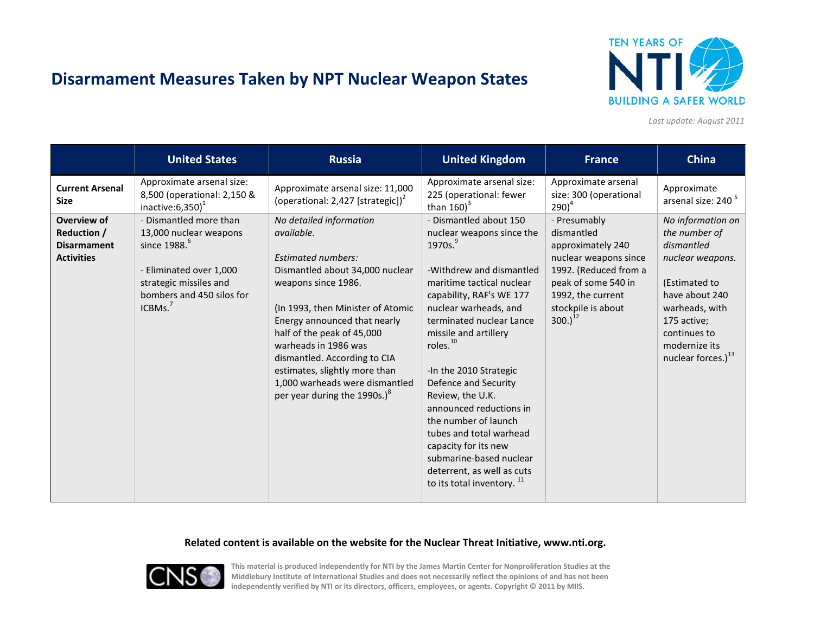

*Last update: August 2011*

|                                                                              | <b>United States</b>                                                                                                                                                                  | <b>Russia</b>                                                                                                                                                                                                                                                                                                                                                                                          | <b>United Kingdom</b>                                                                                                                                                                                                                                                                                                                                                                                                                                                                                                                               | <b>France</b>                                                                                                                                                                                 | <b>China</b>                                                                                                                                                                                                |
|------------------------------------------------------------------------------|---------------------------------------------------------------------------------------------------------------------------------------------------------------------------------------|--------------------------------------------------------------------------------------------------------------------------------------------------------------------------------------------------------------------------------------------------------------------------------------------------------------------------------------------------------------------------------------------------------|-----------------------------------------------------------------------------------------------------------------------------------------------------------------------------------------------------------------------------------------------------------------------------------------------------------------------------------------------------------------------------------------------------------------------------------------------------------------------------------------------------------------------------------------------------|-----------------------------------------------------------------------------------------------------------------------------------------------------------------------------------------------|-------------------------------------------------------------------------------------------------------------------------------------------------------------------------------------------------------------|
| <b>Current Arsenal</b><br><b>Size</b>                                        | Approximate arsenal size:<br>8,500 (operational: 2,150 &<br>inactive: $6,350$ <sup>1</sup>                                                                                            | Approximate arsenal size: 11,000<br>(operational: 2,427 [strategic]) <sup>2</sup>                                                                                                                                                                                                                                                                                                                      | Approximate arsenal size:<br>225 (operational: fewer<br>than $160$ <sup>3</sup>                                                                                                                                                                                                                                                                                                                                                                                                                                                                     | Approximate arsenal<br>size: 300 (operational<br>$290)^4$                                                                                                                                     | Approximate<br>arsenal size: 240 <sup>5</sup>                                                                                                                                                               |
| Overview of<br><b>Reduction /</b><br><b>Disarmament</b><br><b>Activities</b> | - Dismantled more than<br>13,000 nuclear weapons<br>since 1988. <sup>6</sup><br>- Eliminated over 1,000<br>strategic missiles and<br>bombers and 450 silos for<br>ICBMs. <sup>7</sup> | No detailed information<br>available.<br><b>Estimated numbers:</b><br>Dismantled about 34,000 nuclear<br>weapons since 1986.<br>(In 1993, then Minister of Atomic<br>Energy announced that nearly<br>half of the peak of 45,000<br>warheads in 1986 was<br>dismantled. According to CIA<br>estimates, slightly more than<br>1,000 warheads were dismantled<br>per year during the 1990s.) <sup>8</sup> | - Dismantled about 150<br>nuclear weapons since the<br>1970s. <sup>9</sup><br>-Withdrew and dismantled<br>maritime tactical nuclear<br>capability, RAF's WE 177<br>nuclear warheads, and<br>terminated nuclear Lance<br>missile and artillery<br>roles. <sup>10</sup><br>-In the 2010 Strategic<br>Defence and Security<br>Review, the U.K.<br>announced reductions in<br>the number of launch<br>tubes and total warhead<br>capacity for its new<br>submarine-based nuclear<br>deterrent, as well as cuts<br>to its total inventory. <sup>11</sup> | - Presumably<br>dismantled<br>approximately 240<br>nuclear weapons since<br>1992. (Reduced from a<br>peak of some 540 in<br>1992, the current<br>stockpile is about<br>$300.$ ) <sup>12</sup> | No information on<br>the number of<br>dismantled<br>nuclear weapons.<br>(Estimated to<br>have about 240<br>warheads, with<br>175 active;<br>continues to<br>modernize its<br>nuclear forces.) <sup>13</sup> |

### **Related content is available on the website for the Nuclear Threat Initiative, www.nti.org.**

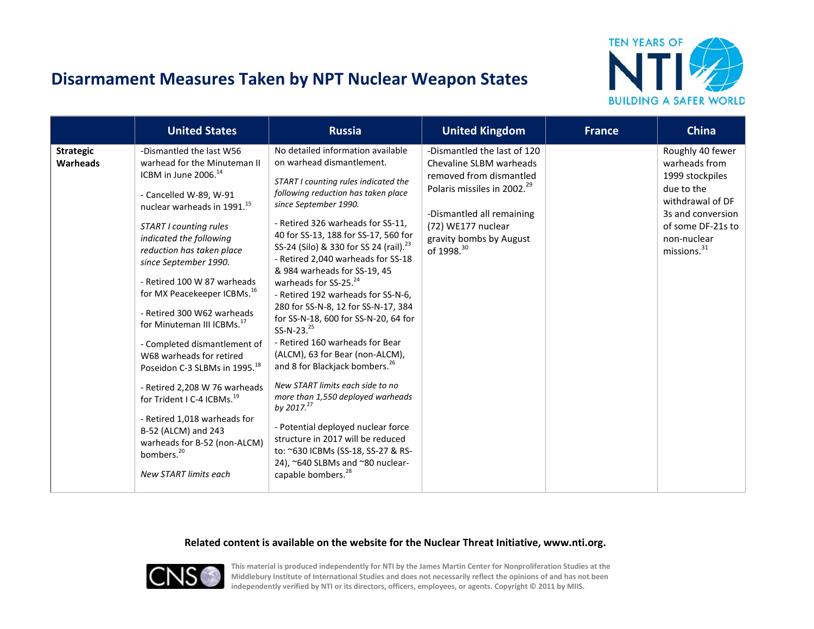

|                                     | <b>United States</b>                                                                                                                                                                                                                                                                                                                                                                                                                                                                                                                                                                                                                                                                                                                                                | <b>Russia</b>                                                                                                                                                                                                                                                                                                                                                                                                                                                                                                                                                                                                                                                                                                                                                                                                                                                                                                                                                         | <b>United Kingdom</b>                                                                                                                                                                                                                | <b>France</b> | <b>China</b>                                                                                                                                                               |
|-------------------------------------|---------------------------------------------------------------------------------------------------------------------------------------------------------------------------------------------------------------------------------------------------------------------------------------------------------------------------------------------------------------------------------------------------------------------------------------------------------------------------------------------------------------------------------------------------------------------------------------------------------------------------------------------------------------------------------------------------------------------------------------------------------------------|-----------------------------------------------------------------------------------------------------------------------------------------------------------------------------------------------------------------------------------------------------------------------------------------------------------------------------------------------------------------------------------------------------------------------------------------------------------------------------------------------------------------------------------------------------------------------------------------------------------------------------------------------------------------------------------------------------------------------------------------------------------------------------------------------------------------------------------------------------------------------------------------------------------------------------------------------------------------------|--------------------------------------------------------------------------------------------------------------------------------------------------------------------------------------------------------------------------------------|---------------|----------------------------------------------------------------------------------------------------------------------------------------------------------------------------|
| <b>Strategic</b><br><b>Warheads</b> | -Dismantled the last W56<br>warhead for the Minuteman II<br>ICBM in June 2006. <sup>14</sup><br>- Cancelled W-89, W-91<br>nuclear warheads in 1991. <sup>15</sup><br>START I counting rules<br>indicated the following<br>reduction has taken place<br>since September 1990.<br>- Retired 100 W 87 warheads<br>for MX Peacekeeper ICBMs. <sup>16</sup><br>- Retired 300 W62 warheads<br>for Minuteman III ICBMs. <sup>17</sup><br>- Completed dismantlement of<br>W68 warheads for retired<br>Poseidon C-3 SLBMs in 1995. <sup>18</sup><br>- Retired 2,208 W 76 warheads<br>for Trident I C-4 ICBMs. <sup>19</sup><br>- Retired 1,018 warheads for<br>B-52 (ALCM) and 243<br>warheads for B-52 (non-ALCM)<br>bombers. <sup>20</sup><br><b>New START limits each</b> | No detailed information available<br>on warhead dismantlement.<br>START I counting rules indicated the<br>following reduction has taken place<br>since September 1990.<br>- Retired 326 warheads for SS-11,<br>40 for SS-13, 188 for SS-17, 560 for<br>SS-24 (Silo) & 330 for SS 24 (rail). <sup>23</sup><br>- Retired 2,040 warheads for SS-18<br>& 984 warheads for SS-19, 45<br>warheads for SS-25. <sup>24</sup><br>- Retired 192 warheads for SS-N-6,<br>280 for SS-N-8, 12 for SS-N-17, 384<br>for SS-N-18, 600 for SS-N-20, 64 for<br>SS-N-23. $^{25}$<br>- Retired 160 warheads for Bear<br>(ALCM), 63 for Bear (non-ALCM),<br>and 8 for Blackjack bombers. <sup>26</sup><br>New START limits each side to no<br>more than 1,550 deployed warheads<br>by 2017. $^{27}$<br>- Potential deployed nuclear force<br>structure in 2017 will be reduced<br>to: ~630 ICBMs (SS-18, SS-27 & RS-<br>24), ~640 SLBMs and ~80 nuclear-<br>capable bombers. <sup>28</sup> | -Dismantled the last of 120<br>Chevaline SLBM warheads<br>removed from dismantled<br>Polaris missiles in 2002. <sup>29</sup><br>-Dismantled all remaining<br>(72) WE177 nuclear<br>gravity bombs by August<br>of 1998. <sup>30</sup> |               | Roughly 40 fewer<br>warheads from<br>1999 stockpiles<br>due to the<br>withdrawal of DF<br>3s and conversion<br>of some DF-21s to<br>non-nuclear<br>missions. <sup>31</sup> |

### **Related content is available on the website for the Nuclear Threat Initiative, www.nti.org.**

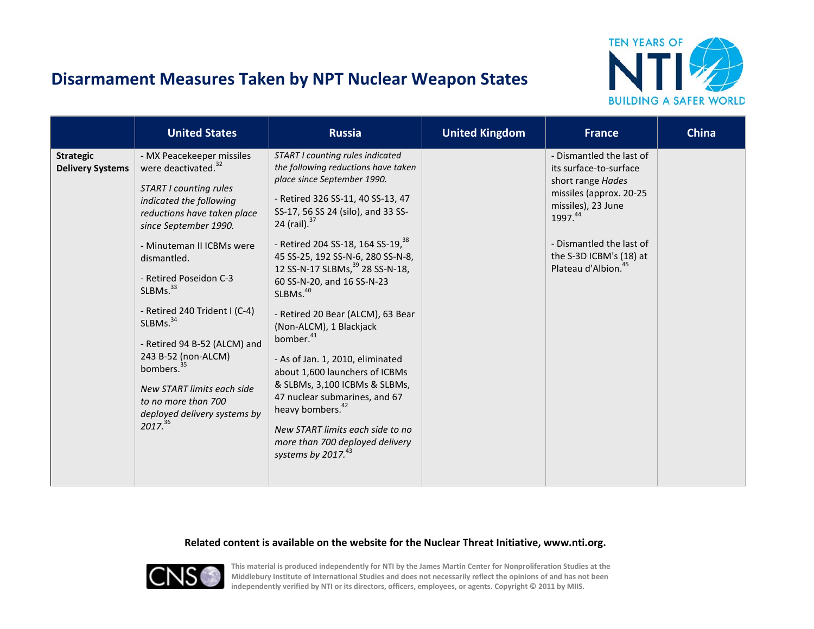

|                                             | <b>United States</b>                                                                                                                                                                                                                                                                                                                                                                                                                                                                                                         | <b>Russia</b>                                                                                                                                                                                                                                                                                                                                                                                                                                                                                                                                                                                                                                                                                                                                             | <b>United Kingdom</b> | <b>France</b>                                                                                                                                                                                                                             | China |
|---------------------------------------------|------------------------------------------------------------------------------------------------------------------------------------------------------------------------------------------------------------------------------------------------------------------------------------------------------------------------------------------------------------------------------------------------------------------------------------------------------------------------------------------------------------------------------|-----------------------------------------------------------------------------------------------------------------------------------------------------------------------------------------------------------------------------------------------------------------------------------------------------------------------------------------------------------------------------------------------------------------------------------------------------------------------------------------------------------------------------------------------------------------------------------------------------------------------------------------------------------------------------------------------------------------------------------------------------------|-----------------------|-------------------------------------------------------------------------------------------------------------------------------------------------------------------------------------------------------------------------------------------|-------|
| <b>Strategic</b><br><b>Delivery Systems</b> | - MX Peacekeeper missiles<br>were deactivated. <sup>32</sup><br><b>START I counting rules</b><br>indicated the following<br>reductions have taken place<br>since September 1990.<br>- Minuteman II ICBMs were<br>dismantled.<br>- Retired Poseidon C-3<br>SLBMs. <sup>33</sup><br>- Retired 240 Trident I (C-4)<br>SLBMs. <sup>34</sup><br>- Retired 94 B-52 (ALCM) and<br>243 B-52 (non-ALCM)<br>bombers. <sup>35</sup><br>New START limits each side<br>to no more than 700<br>deployed delivery systems by<br>$2017^{36}$ | <b>START I counting rules indicated</b><br>the following reductions have taken<br>place since September 1990.<br>- Retired 326 SS-11, 40 SS-13, 47<br>SS-17, 56 SS 24 (silo), and 33 SS-<br>24 (rail). 37<br>- Retired 204 SS-18, 164 SS-19, <sup>38</sup><br>45 SS-25, 192 SS-N-6, 280 SS-N-8,<br>12 SS-N-17 SLBMs, 39 28 SS-N-18,<br>60 SS-N-20, and 16 SS-N-23<br>SLBMs. <sup>40</sup><br>- Retired 20 Bear (ALCM), 63 Bear<br>(Non-ALCM), 1 Blackjack<br>bomber. <sup>41</sup><br>- As of Jan. 1, 2010, eliminated<br>about 1,600 launchers of ICBMs<br>& SLBMs, 3,100 ICBMs & SLBMs,<br>47 nuclear submarines, and 67<br>heavy bombers. <sup>42</sup><br>New START limits each side to no<br>more than 700 deployed delivery<br>systems by $2017.43$ |                       | - Dismantled the last of<br>its surface-to-surface<br>short range Hades<br>missiles (approx. 20-25<br>missiles), 23 June<br>1997. <sup>44</sup><br>- Dismantled the last of<br>the S-3D ICBM's (18) at<br>Plateau d'Albion. <sup>45</sup> |       |

### **Related content is available on the website for the Nuclear Threat Initiative, www.nti.org.**

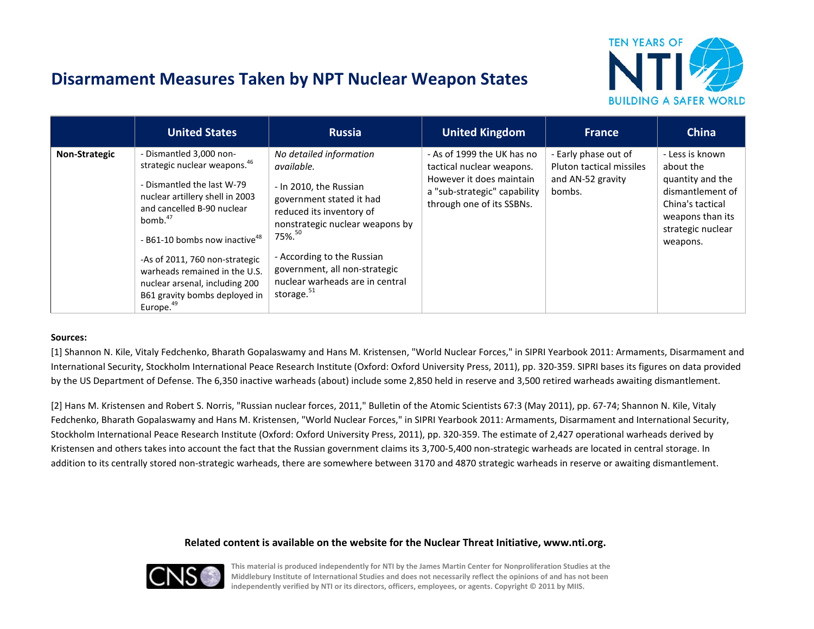

|               | <b>United States</b>                                                                                                                                                                                                                                                                                                                                                                                  | <b>Russia</b>                                                                                                                                                                                                                                                                              | <b>United Kingdom</b>                                                                                                                            | <b>France</b>                                                                   | China                                                                                                                                         |
|---------------|-------------------------------------------------------------------------------------------------------------------------------------------------------------------------------------------------------------------------------------------------------------------------------------------------------------------------------------------------------------------------------------------------------|--------------------------------------------------------------------------------------------------------------------------------------------------------------------------------------------------------------------------------------------------------------------------------------------|--------------------------------------------------------------------------------------------------------------------------------------------------|---------------------------------------------------------------------------------|-----------------------------------------------------------------------------------------------------------------------------------------------|
| Non-Strategic | - Dismantled 3,000 non-<br>strategic nuclear weapons. <sup>46</sup><br>- Dismantled the last W-79<br>nuclear artillery shell in 2003<br>and cancelled B-90 nuclear<br>bomb. <sup>47</sup><br>- B61-10 bombs now inactive <sup>48</sup><br>-As of 2011, 760 non-strategic<br>warheads remained in the U.S.<br>nuclear arsenal, including 200<br>B61 gravity bombs deployed in<br>Europe. <sup>49</sup> | No detailed information<br>available.<br>- In 2010, the Russian<br>government stated it had<br>reduced its inventory of<br>nonstrategic nuclear weapons by<br>75%. $50$<br>- According to the Russian<br>government, all non-strategic<br>nuclear warheads are in central<br>storage. $51$ | - As of 1999 the UK has no<br>tactical nuclear weapons.<br>However it does maintain<br>a "sub-strategic" capability<br>through one of its SSBNs. | - Early phase out of<br>Pluton tactical missiles<br>and AN-52 gravity<br>bombs. | - Less is known<br>about the<br>quantity and the<br>dismantlement of<br>China's tactical<br>weapons than its<br>strategic nuclear<br>weapons. |

#### **Sources:**

[1] Shannon N. Kile, Vitaly Fedchenko, Bharath Gopalaswamy and Hans M. Kristensen, "World Nuclear Forces," in SIPRI Yearbook 2011: Armaments, Disarmament and International Security, Stockholm International Peace Research Institute (Oxford: Oxford University Press, 2011), pp. 320-359. SIPRI bases its figures on data provided by the US Department of Defense. The 6,350 inactive warheads (about) include some 2,850 held in reserve and 3,500 retired warheads awaiting dismantlement.

[2] Hans M. Kristensen and Robert S. Norris, "Russian nuclear forces, 2011," Bulletin of the Atomic Scientists 67:3 (May 2011), pp. 67-74; Shannon N. Kile, Vitaly Fedchenko, Bharath Gopalaswamy and Hans M. Kristensen, "World Nuclear Forces," in SIPRI Yearbook 2011: Armaments, Disarmament and International Security, Stockholm International Peace Research Institute (Oxford: Oxford University Press, 2011), pp. 320-359. The estimate of 2,427 operational warheads derived by Kristensen and others takes into account the fact that the Russian government claims its 3,700-5,400 non-strategic warheads are located in central storage. In addition to its centrally stored non-strategic warheads, there are somewhere between 3170 and 4870 strategic warheads in reserve or awaiting dismantlement.

#### **Related content is available on the website for the Nuclear Threat Initiative, www.nti.org.**

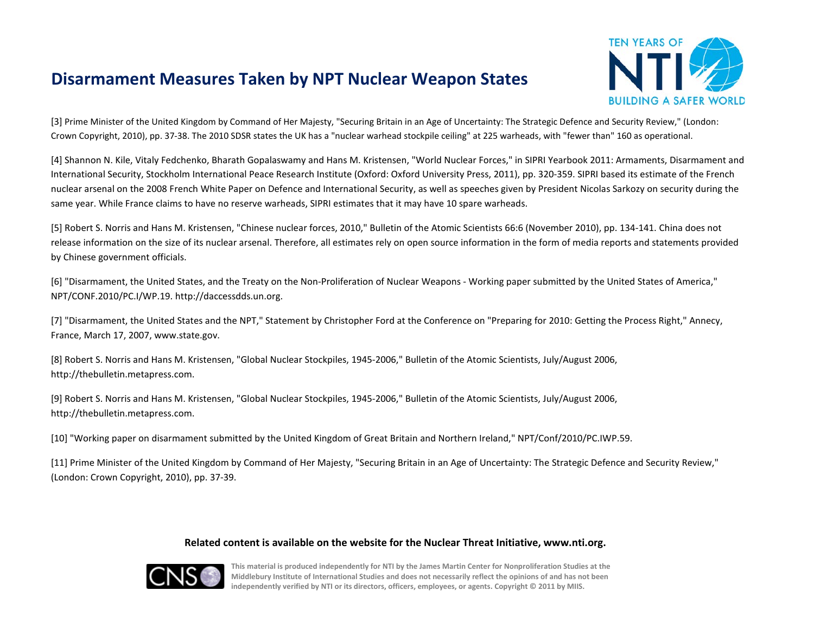

[3] Prime Minister of the United Kingdom by Command of Her Majesty, "Securing Britain in an Age of Uncertainty: The Strategic Defence and Security Review," (London: Crown Copyright, 2010), pp. 37-38. The 2010 SDSR states the UK has a "nuclear warhead stockpile ceiling" at 225 warheads, with "fewer than" 160 as operational.

[4] Shannon N. Kile, Vitaly Fedchenko, Bharath Gopalaswamy and Hans M. Kristensen, "World Nuclear Forces," in SIPRI Yearbook 2011: Armaments, Disarmament and International Security, Stockholm International Peace Research Institute (Oxford: Oxford University Press, 2011), pp. 320-359. SIPRI based its estimate of the French nuclear arsenal on the 2008 French White Paper on Defence and International Security, as well as speeches given by President Nicolas Sarkozy on security during the same year. While France claims to have no reserve warheads, SIPRI estimates that it may have 10 spare warheads.

[5] Robert S. Norris and Hans M. Kristensen, "Chinese nuclear forces, 2010," Bulletin of the Atomic Scientists 66:6 (November 2010), pp. 134-141. China does not release information on the size of its nuclear arsenal. Therefore, all estimates rely on open source information in the form of media reports and statements provided by Chinese government officials.

[6] "Disarmament, the United States, and the Treaty on the Non-Proliferation of Nuclear Weapons - Working paper submitted by the United States of America," NPT/CONF.2010/PC.I/WP.19. http://daccessdds.un.org.

[7] "Disarmament, the United States and the NPT," Statement by Christopher Ford at the Conference on "Preparing for 2010: Getting the Process Right," Annecy, France, March 17, 2007, www.state.gov.

[8] Robert S. Norris and Hans M. Kristensen, "Global Nuclear Stockpiles, 1945-2006," Bulletin of the Atomic Scientists, July/August 2006, http://thebulletin.metapress.com.

[9] Robert S. Norris and Hans M. Kristensen, "Global Nuclear Stockpiles, 1945-2006," Bulletin of the Atomic Scientists, July/August 2006, http://thebulletin.metapress.com.

[10] "Working paper on disarmament submitted by the United Kingdom of Great Britain and Northern Ireland," NPT/Conf/2010/PC.IWP.59.

[11] Prime Minister of the United Kingdom by Command of Her Majesty, "Securing Britain in an Age of Uncertainty: The Strategic Defence and Security Review," (London: Crown Copyright, 2010), pp. 37-39.

### **Related content is available on the website for the Nuclear Threat Initiative, www.nti.org.**

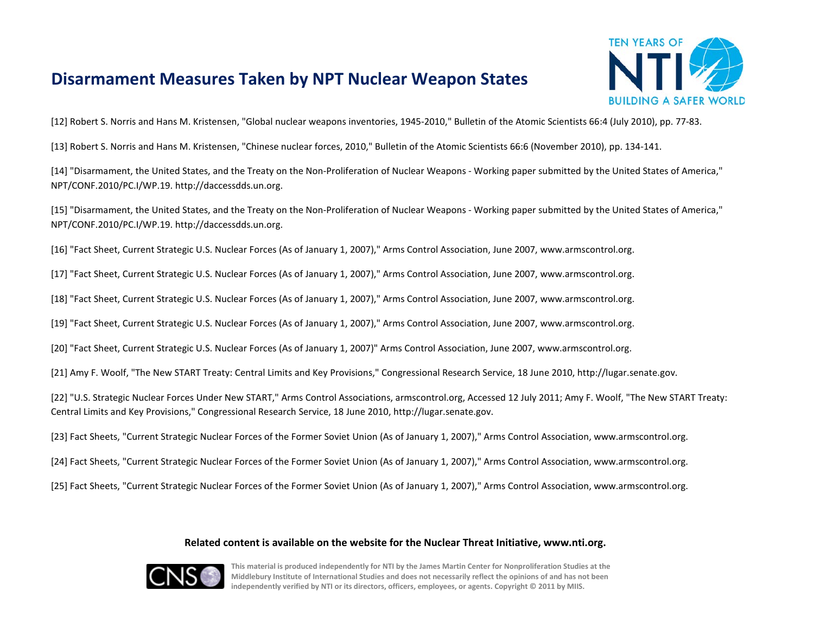

[12] Robert S. Norris and Hans M. Kristensen, "Global nuclear weapons inventories, 1945-2010," Bulletin of the Atomic Scientists 66:4 (July 2010), pp. 77-83.

[13] Robert S. Norris and Hans M. Kristensen, "Chinese nuclear forces, 2010," Bulletin of the Atomic Scientists 66:6 (November 2010), pp. 134-141.

[14] "Disarmament, the United States, and the Treaty on the Non-Proliferation of Nuclear Weapons - Working paper submitted by the United States of America," NPT/CONF.2010/PC.I/WP.19. http://daccessdds.un.org.

[15] "Disarmament, the United States, and the Treaty on the Non-Proliferation of Nuclear Weapons - Working paper submitted by the United States of America," NPT/CONF.2010/PC.I/WP.19. http://daccessdds.un.org.

[16] "Fact Sheet, Current Strategic U.S. Nuclear Forces (As of January 1, 2007)," Arms Control Association, June 2007, www.armscontrol.org.

[17] "Fact Sheet, Current Strategic U.S. Nuclear Forces (As of January 1, 2007)," Arms Control Association, June 2007, www.armscontrol.org.

[18] "Fact Sheet, Current Strategic U.S. Nuclear Forces (As of January 1, 2007)," Arms Control Association, June 2007, www.armscontrol.org.

[19] "Fact Sheet, Current Strategic U.S. Nuclear Forces (As of January 1, 2007)," Arms Control Association, June 2007, www.armscontrol.org.

[20] "Fact Sheet, Current Strategic U.S. Nuclear Forces (As of January 1, 2007)" Arms Control Association, June 2007, www.armscontrol.org.

[21] Amy F. Woolf, "The New START Treaty: Central Limits and Key Provisions," Congressional Research Service, 18 June 2010, http://lugar.senate.gov.

[22] "U.S. Strategic Nuclear Forces Under New START," Arms Control Associations, armscontrol.org, Accessed 12 July 2011; Amy F. Woolf, "The New START Treaty: Central Limits and Key Provisions," Congressional Research Service, 18 June 2010, http://lugar.senate.gov.

[23] Fact Sheets, "Current Strategic Nuclear Forces of the Former Soviet Union (As of January 1, 2007)," Arms Control Association, www.armscontrol.org.

[24] Fact Sheets, "Current Strategic Nuclear Forces of the Former Soviet Union (As of January 1, 2007)," Arms Control Association, www.armscontrol.org.

[25] Fact Sheets, "Current Strategic Nuclear Forces of the Former Soviet Union (As of January 1, 2007)," Arms Control Association, www.armscontrol.org.

#### **Related content is available on the website for the Nuclear Threat Initiative, www.nti.org.**

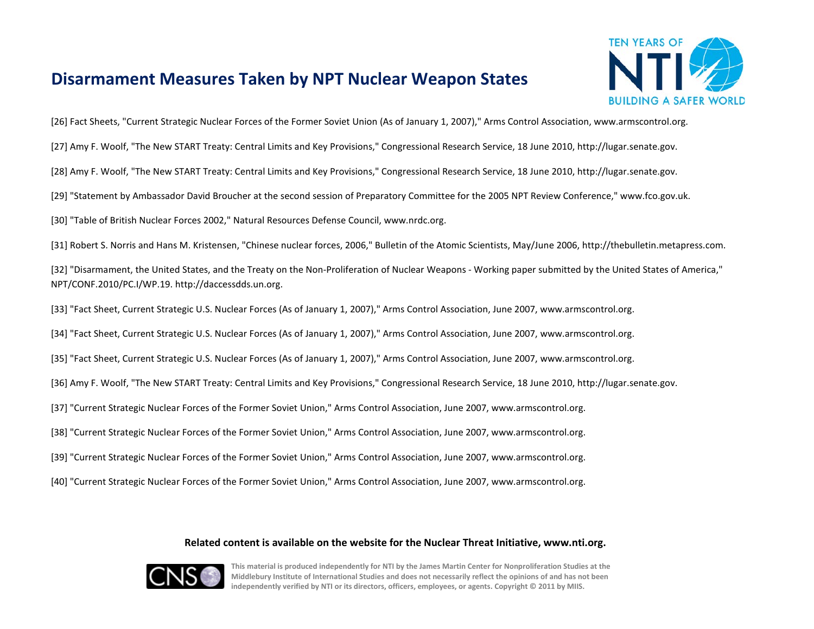

[26] Fact Sheets, "Current Strategic Nuclear Forces of the Former Soviet Union (As of January 1, 2007)," Arms Control Association, www.armscontrol.org.

[27] Amy F. Woolf, "The New START Treaty: Central Limits and Key Provisions," Congressional Research Service, 18 June 2010, http://lugar.senate.gov.

[28] Amy F. Woolf, "The New START Treaty: Central Limits and Key Provisions," Congressional Research Service, 18 June 2010, http://lugar.senate.gov.

[29] "Statement by Ambassador David Broucher at the second session of Preparatory Committee for the 2005 NPT Review Conference," www.fco.gov.uk.

[30] "Table of British Nuclear Forces 2002," Natural Resources Defense Council, www.nrdc.org.

[31] Robert S. Norris and Hans M. Kristensen, "Chinese nuclear forces, 2006," Bulletin of the Atomic Scientists, May/June 2006, http://thebulletin.metapress.com.

[32] "Disarmament, the United States, and the Treaty on the Non-Proliferation of Nuclear Weapons - Working paper submitted by the United States of America," NPT/CONF.2010/PC.I/WP.19. http://daccessdds.un.org.

[33] "Fact Sheet, Current Strategic U.S. Nuclear Forces (As of January 1, 2007)," Arms Control Association, June 2007, www.armscontrol.org.

[34] "Fact Sheet, Current Strategic U.S. Nuclear Forces (As of January 1, 2007)," Arms Control Association, June 2007, www.armscontrol.org.

[35] "Fact Sheet, Current Strategic U.S. Nuclear Forces (As of January 1, 2007)," Arms Control Association, June 2007, www.armscontrol.org.

[36] Amy F. Woolf, "The New START Treaty: Central Limits and Key Provisions," Congressional Research Service, 18 June 2010, http://lugar.senate.gov.

[37] "Current Strategic Nuclear Forces of the Former Soviet Union," Arms Control Association, June 2007, www.armscontrol.org.

[38] "Current Strategic Nuclear Forces of the Former Soviet Union," Arms Control Association, June 2007, www.armscontrol.org.

[39] "Current Strategic Nuclear Forces of the Former Soviet Union," Arms Control Association, June 2007, www.armscontrol.org.

[40] "Current Strategic Nuclear Forces of the Former Soviet Union," Arms Control Association, June 2007, www.armscontrol.org.

#### **Related content is available on the website for the Nuclear Threat Initiative, www.nti.org.**